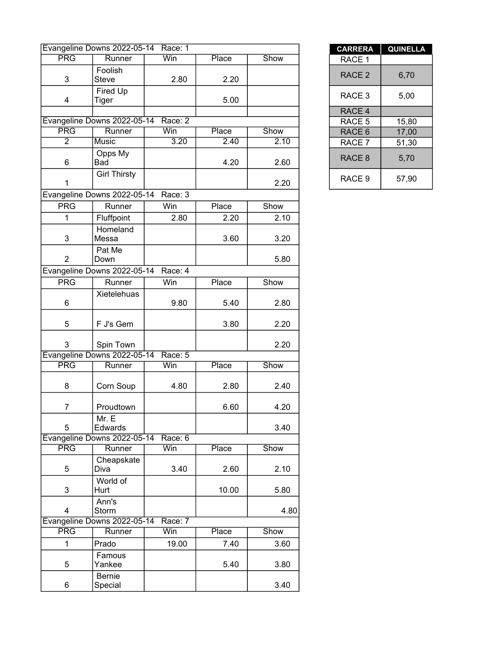|                | Evangeline Downs 2022-05-14 Race: 1 |         |       |      | <b>CARRERA</b>    | <b>QUINEL</b> |
|----------------|-------------------------------------|---------|-------|------|-------------------|---------------|
| <b>PRG</b>     | Runner                              | Win     | Place | Show | RACE 1            |               |
| 3              | Foolish<br><b>Steve</b>             | 2.80    | 2.20  |      | RACE <sub>2</sub> | 6,70          |
| 4              | Fired Up<br>Tiger                   |         | 5.00  |      | RACE 3            | 5,00          |
|                |                                     |         |       |      | RACE 4            |               |
|                | Evangeline Downs 2022-05-14         | Race: 2 |       |      | RACE 5            | 15,80         |
| <b>PRG</b>     | Runner                              | Win     | Place | Show | RACE 6            | 17,00         |
| $\overline{2}$ | Music                               | 3.20    | 2.40  | 2.10 | RACE 7            | 51,30         |
| 6              | Opps My<br>Bad                      |         | 4.20  | 2.60 | RACE 8            | 5,70          |
| 1              | <b>Girl Thirsty</b>                 |         |       | 2.20 | RACE 9            | 57,90         |
|                | Evangeline Downs 2022-05-14 Race: 3 |         |       |      |                   |               |
| <b>PRG</b>     | Runner                              | Win     | Place | Show |                   |               |
| 1              | Fluffpoint                          | 2.80    | 2.20  | 2.10 |                   |               |
| 3              | Homeland<br>Messa                   |         | 3.60  | 3.20 |                   |               |
| $\overline{2}$ | Pat Me<br>Down                      |         |       | 5.80 |                   |               |
|                | Evangeline Downs 2022-05-14 Race: 4 |         |       |      |                   |               |
| <b>PRG</b>     | Runner                              | Win     | Place | Show |                   |               |
|                | Xietelehuas                         |         |       |      |                   |               |
| 6              |                                     | 9.80    | 5.40  | 2.80 |                   |               |
| 5              | F J's Gem                           |         | 3.80  | 2.20 |                   |               |
| 3              | Spin Town                           |         |       | 2.20 |                   |               |
|                | Evangeline Downs 2022-05-14         | Race: 5 |       |      |                   |               |
| <b>PRG</b>     | Runner                              | Win     | Place | Show |                   |               |
| 8              | Corn Soup                           | 4.80    | 2.80  | 2.40 |                   |               |
| 7              | Proudtown                           |         | 6.60  | 4.20 |                   |               |
| 5              | Mr. E<br>Edwards                    |         |       | 3.40 |                   |               |
|                | Evangeline Downs 2022-05-14         | Race: 6 |       |      |                   |               |
| <b>PRG</b>     | Runner                              | Win     | Place | Show |                   |               |
| 5              | Cheapskate<br>Diva                  | 3.40    | 2.60  | 2.10 |                   |               |
| 3              | World of<br>Hurt                    |         | 10.00 | 5.80 |                   |               |
| 4              | Ann's<br>Storm                      |         |       | 4.80 |                   |               |
|                | Evangeline Downs 2022-05-14         | Race: 7 |       |      |                   |               |
| <b>PRG</b>     | Runner                              | Win     | Place | Show |                   |               |
| $\mathbf{1}$   | Prado                               | 19.00   | 7.40  | 3.60 |                   |               |
| 5              | Famous<br>Yankee                    |         | 5.40  | 3.80 |                   |               |
| 6              | Bernie<br>Special                   |         |       | 3.40 |                   |               |
|                |                                     |         |       |      |                   |               |

| <b>CARRERA</b>    | <b>QUINELLA</b> |
|-------------------|-----------------|
| RACE 1            |                 |
| RACE <sub>2</sub> | 6,70            |
| RACE 3            | 5,00            |
| RACE 4            |                 |
| RACE 5            | 15,80           |
| RACE <sub>6</sub> | 17,00           |
| RACE 7            | 51,30           |
| RACE <sub>8</sub> | 5,70            |
| RACE 9            | 57,90           |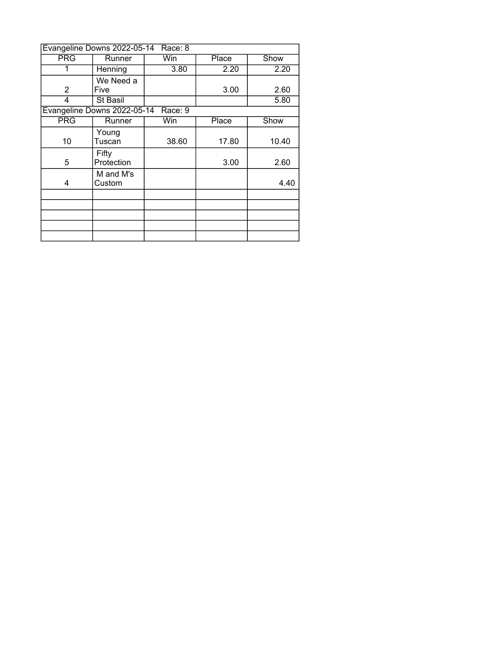|                | Evangeline Downs 2022-05-14 | Race: 8 |       |       |
|----------------|-----------------------------|---------|-------|-------|
| PRG            | Runner                      | Win     | Place | Show  |
| 1              | Henning                     | 3.80    | 2.20  | 2.20  |
|                | We Need a                   |         |       |       |
| $\overline{2}$ | Five                        |         | 3.00  | 2.60  |
| 4              | St Basil                    |         |       | 5.80  |
|                | Evangeline Downs 2022-05-14 | Race: 9 |       |       |
| <b>PRG</b>     | Runner                      | Win     | Place | Show  |
|                | Young                       |         |       |       |
| 10             | Tuscan                      | 38.60   | 17.80 | 10.40 |
|                | Fifty                       |         |       |       |
| 5              | Protection                  |         | 3.00  | 2.60  |
|                | M and M's                   |         |       |       |
| 4              | Custom                      |         |       | 4.40  |
|                |                             |         |       |       |
|                |                             |         |       |       |
|                |                             |         |       |       |
|                |                             |         |       |       |
|                |                             |         |       |       |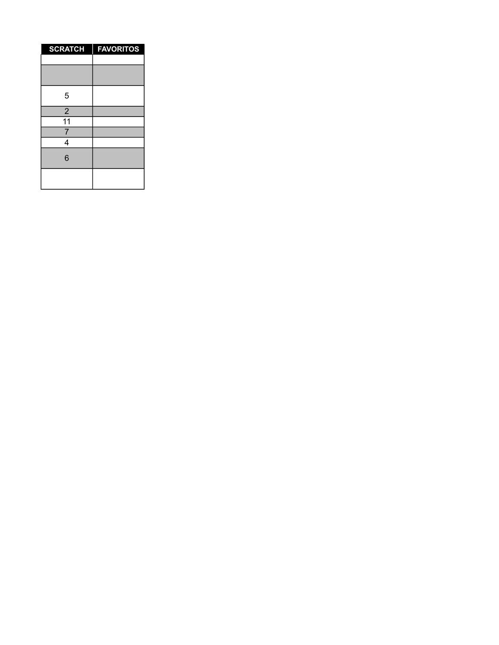| <b>SCRATCH</b>  | <b>FAVORITOS</b> |
|-----------------|------------------|
|                 |                  |
|                 |                  |
| 5               |                  |
| $\overline{c}$  |                  |
| $\overline{11}$ |                  |
| $\overline{7}$  |                  |
| 4               |                  |
| 6               |                  |
|                 |                  |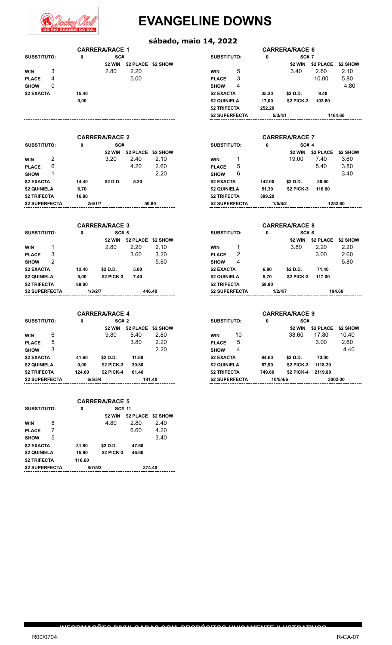

# **EVANGELINE DOWNS**

#### **sábado, maio 14, 2022**

**INFORMAÇÕES DIVULGADAS COM PROPÓSITOS UNICAMENTE ILUSTRATIVOS**

|              |   |       | <b>CARRERA/RACE 1</b> |      |                    |                     |   |        | <b>CARRERA/RACE 6</b> |         |
|--------------|---|-------|-----------------------|------|--------------------|---------------------|---|--------|-----------------------|---------|
| SUBSTITUTO:  |   | 0     | SC#                   |      |                    | <b>SUBSTITUTO:</b>  |   | 0      | <b>SC# 7</b>          |         |
|              |   |       | \$2 WIN               |      | \$2 PLACE \$2 SHOW |                     |   |        | \$2 WIN               | \$2 PLA |
| <b>WIN</b>   | 3 |       | 2.80                  | 2.20 |                    | <b>WIN</b>          | 5 |        | 3.40                  | 2.60    |
| <b>PLACE</b> | 4 |       |                       | 5.00 |                    | <b>PLACE</b>        | 3 |        |                       | 10.00   |
| <b>SHOW</b>  | 0 |       |                       |      |                    | <b>SHOW</b>         | 4 |        |                       |         |
| \$2 EXACTA   |   | 15.40 |                       |      |                    | \$2 EXACTA          |   | 35.20  | \$2 D.D.              | 9.40    |
|              |   | 0,00  |                       |      |                    | \$2 QUINIELA        |   | 17,00  | <b>\$2 PICK-3</b>     | 103.6   |
|              |   |       |                       |      |                    | <b>\$2 TRIFECTA</b> |   | 252.20 |                       |         |

|       | <b>CARRERA/RACE 1</b> |                    |                |   |         | <b>CARRERA/RACE 6</b> |           |          |
|-------|-----------------------|--------------------|----------------|---|---------|-----------------------|-----------|----------|
| 0     | SC#                   |                    | SUBSTITUTO:    |   | 0       | <b>SC# 7</b>          |           |          |
|       | \$2 WIN               | \$2 PLACE \$2 SHOW |                |   |         | \$2 WIN               | \$2 PLACE | \$2 SHOW |
|       | 2.80                  | 2.20               | <b>WIN</b>     | 5 |         | 3.40                  | 2.60      | 2.10     |
|       |                       | 5.00               | <b>PLACE</b>   | 3 |         |                       | 10.00     | 5.80     |
|       |                       |                    | <b>SHOW</b>    | 4 |         |                       |           | 4.80     |
| 15.40 |                       |                    | \$2 EXACTA     |   | 35.20   | \$2 D.D.              | 9.40      |          |
| 0.00  |                       |                    | \$2 QUINIELA   |   | 17,00   | <b>\$2 PICK-3</b>     | 103.60    |          |
|       |                       |                    | \$2 TRIFECTA   |   | 252.20  |                       |           |          |
|       |                       |                    | \$2 SUPERFECTA |   | 5/3/4/1 |                       |           | 1164.60  |

|                    |   |         | <b>CARRERA/RACE 2</b> |           |          |                    |   | <b>CARRERA/RACE 7</b> |                   |               |         |
|--------------------|---|---------|-----------------------|-----------|----------|--------------------|---|-----------------------|-------------------|---------------|---------|
| <b>SUBSTITUTO:</b> |   | 0       | SC#                   |           |          | <b>SUBSTITUTO:</b> |   | 0                     | <b>SC# 4</b>      |               |         |
|                    |   |         | \$2 WIN               | \$2 PLACE | \$2 SHOW |                    |   |                       | \$2 WIN           | \$2 PLACE \$2 |         |
| <b>WIN</b>         | 2 |         | 3.20                  | 2.40      | 2.10     | <b>WIN</b>         |   |                       | 19.00             | 7.40          | 3       |
| <b>PLACE</b>       | 6 |         |                       | 4.20      | 2.60     | <b>PLACE</b>       | 5 |                       |                   | 5.40          | 3       |
| <b>SHOW</b>        |   |         |                       |           | 2.20     | <b>SHOW</b>        | 6 |                       |                   |               | 3       |
| \$2 EXACTA         |   | 14.40   | \$2 D.D.              | 5.20      |          | \$2 EXACTA         |   | 142.00                | \$2 D.D.          | 30.60         |         |
| \$2 QUINIELA       |   | 6.70    |                       |           |          | \$2 QUINIELA       |   | 51.30                 | <b>\$2 PICK-3</b> | 116.60        |         |
| \$2 TRIFECTA       |   | 16.80   |                       |           |          | \$2 TRIFECTA       |   | 389.20                |                   |               |         |
| \$2 SUPERFECTA     |   | 2/6/1/7 |                       |           | 50.80    | \$2 SUPERFECTA     |   | 1/5/6/2               |                   |               | 1252.60 |

|                |   |       | <b>CARRERA/RACE 3</b> |                    |        |                    |   | <b>CARRERA/RACE 8</b> |                   |          |
|----------------|---|-------|-----------------------|--------------------|--------|--------------------|---|-----------------------|-------------------|----------|
| SUBSTITUTO:    |   | 0     | <b>SC# 5</b>          |                    |        | <b>SUBSTITUTO:</b> |   | 0                     | SC# 6             |          |
|                |   |       | \$2 WIN               | \$2 PLACE \$2 SHOW |        |                    |   |                       | \$2 WIN           | \$2 PLAC |
| <b>WIN</b>     |   |       | 2.80                  | 2.20               | 2.10   | <b>WIN</b>         |   |                       | 3.80              | 2.20     |
| <b>PLACE</b>   | 3 |       |                       | 3.60               | 3.20   | <b>PLACE</b>       | 2 |                       |                   | 3.00     |
| <b>SHOW</b>    | 2 |       |                       |                    | 5.80   | <b>SHOW</b>        | 4 |                       |                   |          |
| \$2 EXACTA     |   | 12.40 | \$2 D.D.              | 5.00               |        | \$2 EXACTA         |   | 6.80                  | \$2 D.D.          | 71.40    |
| \$2 QUINIELA   |   | 5.00  | <b>\$2 PICK-3</b>     | 7.40               |        | \$2 QUINIELA       |   | 5,70                  | <b>\$2 PICK-3</b> | 117.00   |
| \$2 TRIFECTA   |   | 89.00 |                       |                    |        | \$2 TRIFECTA       |   | 58.80                 |                   |          |
| \$2 SUPERFECTA |   |       | 1/3/2/7               |                    | 446.40 | \$2 SUPERFECTA     |   |                       | 1/2/4/7           |          |
|                |   |       |                       |                    |        |                    |   |                       |                   |          |

|                     |        |          |         |                                                                          | <b>CARRERA/RACE 9</b> |    |                                                                                    |                   |          |  |
|---------------------|--------|----------|---------|--------------------------------------------------------------------------|-----------------------|----|------------------------------------------------------------------------------------|-------------------|----------|--|
| SUBSTITUTO:         | 0      |          |         |                                                                          |                       |    | 0                                                                                  | SC#               |          |  |
|                     |        | \$2 WIN  |         | \$2 SHOW                                                                 |                       |    |                                                                                    | \$2 WIN           | \$2 PLAC |  |
| 6                   |        | 9.80     | 5.40    | 2.80                                                                     | <b>WIN</b>            | 10 |                                                                                    | 38.60             | 17.80    |  |
| 5                   |        |          | 3.80    | 2.20                                                                     | <b>PLACE</b>          | 5  |                                                                                    |                   | 3.00     |  |
| 3                   |        |          |         | 2.20                                                                     | <b>SHOW</b>           | 4  |                                                                                    |                   |          |  |
| \$2 EXACTA          | 41.60  | \$2 D.D. | 11.60   |                                                                          |                       |    | 94.60                                                                              | \$2 D.D.          | 73.00    |  |
| \$2 QUINIELA        | 0.00   |          | 39.80   |                                                                          |                       |    | 57,90                                                                              | <b>\$2 PICK-3</b> | 1118.20  |  |
| <b>\$2 TRIFECTA</b> | 124.60 |          | 61.40   |                                                                          |                       |    | 749.60                                                                             | \$2 PICK-4        | 2119.80  |  |
| \$2 SUPERFECTA      |        |          |         |                                                                          |                       |    |                                                                                    |                   | 3        |  |
|                     |        |          | 6/5/3/4 | <b>CARRERA/RACE 4</b><br>SC# 2<br><b>\$2 PICK-3</b><br><b>\$2 PICK-4</b> | \$2 PLACE<br>141.40   |    | <b>SUBSTITUTO:</b><br>\$2 EXACTA<br>\$2 QUINIELA<br>\$2 TRIFECTA<br>\$2 SUPERFECTA |                   | 10/5/4/6 |  |

|                    |   |         | <b>CARRERA/RACE 5</b> |                    |      |  |
|--------------------|---|---------|-----------------------|--------------------|------|--|
| <b>SUBSTITUTO:</b> |   | 0       | SC# 11                |                    |      |  |
|                    |   |         | \$2 WIN               | \$2 PLACE \$2 SHOW |      |  |
| <b>WIN</b>         | 8 |         | 4.80                  | 2.80               | 2.40 |  |
| <b>PLACE</b>       | 7 |         |                       | 6.60               | 4.20 |  |
| <b>SHOW</b>        | 5 |         |                       |                    | 3.40 |  |
| \$2 EXACTA         |   | 31.80   | \$2 D.D.              | 47.60              |      |  |
| \$2 QUINIELA       |   | 15,80   | <b>\$2 PICK-3</b>     | 46.60              |      |  |
| \$2 TRIFECTA       |   | 110.60  |                       |                    |      |  |
| \$2 SUPERFECTA     |   | 8/7/5/3 |                       | 374.40             |      |  |

| <b>CARRERA/RACE 2</b> |          |                    |       |                    |   |         | <b>CARRERA/RACE 7</b> |           |          |  |
|-----------------------|----------|--------------------|-------|--------------------|---|---------|-----------------------|-----------|----------|--|
| 0                     | SC#      |                    |       | <b>SUBSTITUTO:</b> |   | 0       | <b>SC# 4</b>          |           |          |  |
|                       | \$2 WIN  | \$2 PLACE \$2 SHOW |       |                    |   |         | \$2 WIN               | \$2 PLACE | \$2 SHOW |  |
|                       | 3.20     | 2.40               | 2.10  | <b>WIN</b>         |   |         | 19.00                 | 7.40      | 3.60     |  |
|                       |          | 4.20               | 2.60  | <b>PLACE</b>       | 5 |         |                       | 5.40      | 3.80     |  |
|                       |          |                    | 2.20  | <b>SHOW</b>        | 6 |         |                       |           | 3.40     |  |
| 14.40                 | \$2 D.D. | 5.20               |       | \$2 EXACTA         |   | 142.00  | \$2 D.D.              | 30.60     |          |  |
| 6,70                  |          |                    |       | \$2 QUINIELA       |   | 51,30   | <b>\$2 PICK-3</b>     | 116.60    |          |  |
| 16.80                 |          |                    |       | \$2 TRIFECTA       |   | 389.20  |                       |           |          |  |
| 2/6/1/7               |          |                    | 50.80 | \$2 SUPERFECTA     |   | 1/5/6/2 |                       |           | 1252.60  |  |
|                       |          |                    |       |                    |   |         |                       |           |          |  |

|       | <b>CARRERA/RACE 3</b> |                    |        |                |   |         | <b>CARRERA/RACE 8</b> |           |          |
|-------|-----------------------|--------------------|--------|----------------|---|---------|-----------------------|-----------|----------|
| 0     | <b>SC# 5</b>          |                    |        | SUBSTITUTO:    |   | 0       | SC# 6                 |           |          |
|       | \$2 WIN               | \$2 PLACE \$2 SHOW |        |                |   |         | \$2 WIN               | \$2 PLACE | \$2 SHOW |
|       | 2.80                  | 2.20               | 2.10   | <b>WIN</b>     | 1 |         | 3.80                  | 2.20      | 2.20     |
|       |                       | 3.60               | 3.20   | <b>PLACE</b>   | 2 |         |                       | 3.00      | 2.60     |
|       |                       |                    | 5.80   | <b>SHOW</b>    | 4 |         |                       |           | 5.80     |
| 12.40 | \$2 D.D.              | 5.00               |        | \$2 EXACTA     |   | 6.80    | \$2 D.D.              | 71.40     |          |
| 5.00  | <b>\$2 PICK-3</b>     | 7.40               |        | \$2 QUINIELA   |   | 5,70    | <b>\$2 PICK-3</b>     | 117.00    |          |
| 39.00 |                       |                    |        | \$2 TRIFECTA   |   | 58.80   |                       |           |          |
|       | 1/3/2/7               |                    | 446.40 | \$2 SUPERFECTA |   | 1/2/4/7 |                       |           | 194.60   |

| <b>CARRERA/RACE 4</b> |                   |                    |        |                |    |          | <b>CARRERA/RACE 9</b> |           |          |
|-----------------------|-------------------|--------------------|--------|----------------|----|----------|-----------------------|-----------|----------|
| 0                     | <b>SC# 2</b>      |                    |        | SUBSTITUTO:    |    | 0        | SC#                   |           |          |
|                       | \$2 WIN           | \$2 PLACE \$2 SHOW |        |                |    |          | \$2 WIN               | \$2 PLACE | \$2 SHOW |
|                       | 9.80              | 5.40               | 2.80   | <b>WIN</b>     | 10 |          | 38.60                 | 17.80     | 10.40    |
|                       |                   | 3.80               | 2.20   | <b>PLACE</b>   | 5  |          |                       | 3.00      | 2.60     |
|                       |                   |                    | 2.20   | <b>SHOW</b>    | 4  |          |                       |           | 4.40     |
| 11.60                 | \$2 D.D.          | 11.60              |        | \$2 EXACTA     |    | 94.60    | \$2 D.D.              | 73.00     |          |
| 0,00                  | <b>\$2 PICK-3</b> | 39.80              |        | \$2 QUINIELA   |    | 57,90    | <b>\$2 PICK-3</b>     | 1118.20   |          |
| 24.60                 | <b>\$2 PICK-4</b> | 61.40              |        | \$2 TRIFECTA   |    | 749.60   | \$2 PICK-4            | 2119.80   |          |
| 6/5/3/4               |                   |                    | 141.40 | \$2 SUPERFECTA |    | 10/5/4/6 |                       |           | 3002.00  |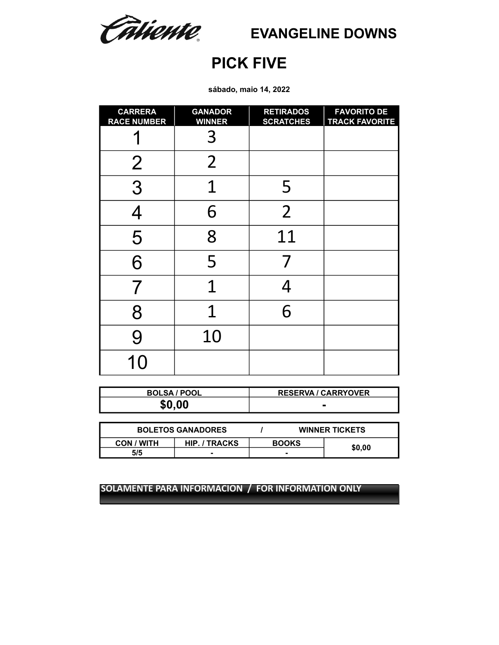Câtiente

**EVANGELINE DOWNS**

# **PICK FIVE**

**sábado, maio 14, 2022**

| <b>CARRERA</b><br><b>RACE NUMBER</b> | <b>GANADOR</b><br><b>WINNER</b> | <b>RETIRADOS</b><br><b>SCRATCHES</b> | <b>FAVORITO DE</b><br><b>TRACK FAVORITE</b> |
|--------------------------------------|---------------------------------|--------------------------------------|---------------------------------------------|
|                                      | 3                               |                                      |                                             |
| $\overline{2}$                       | $\overline{2}$                  |                                      |                                             |
| 3                                    | 1                               | 5                                    |                                             |
| $\boldsymbol{\varDelta}$             | 6                               | $\overline{2}$                       |                                             |
| 5                                    | 8                               | 11                                   |                                             |
| 6                                    | 5                               |                                      |                                             |
|                                      | $\overline{1}$                  |                                      |                                             |
| 8                                    | 1                               | 6                                    |                                             |
| 9                                    | 10                              |                                      |                                             |
| 10                                   |                                 |                                      |                                             |

| <b>BOLSA / POOL</b> | <b>RESERVA / CARRYOVER</b> |
|---------------------|----------------------------|
| \$0.00              |                            |

| <b>BOLETOS GANADORES</b> |                      |              |  | <b>WINNER TICKETS</b> |
|--------------------------|----------------------|--------------|--|-----------------------|
| CON / WITH               | <b>HIP. / TRACKS</b> | <b>BOOKS</b> |  |                       |
| 5/5                      |                      |              |  | \$0,00                |
|                          |                      |              |  |                       |

**SOLAMENTE PARA INFORMACION / FOR INFORMATION ONLY SOLAMENTE PARA INFORMACION / FOR INFORMATION ONLY**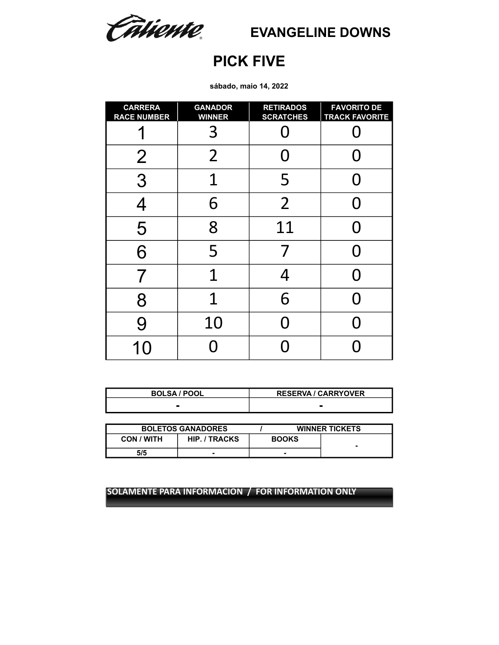Câtiente

**EVANGELINE DOWNS**

## **PICK FIVE**

**sábado, maio 14, 2022**

| <b>CARRERA</b><br><b>RACE NUMBER</b> | <b>GANADOR</b><br><b>WINNER</b> | <b>RETIRADOS</b><br><b>SCRATCHES</b> | <b>FAVORITO DE</b><br><b>TRACK FAVORITE</b> |
|--------------------------------------|---------------------------------|--------------------------------------|---------------------------------------------|
|                                      | 3                               |                                      |                                             |
| $\overline{2}$                       | $\overline{2}$                  | ( )                                  |                                             |
| 3                                    | 1                               | 5                                    |                                             |
| $\overline{4}$                       | 6                               | $\overline{2}$                       |                                             |
| 5                                    | 8                               | 11                                   |                                             |
| 6                                    | 5                               |                                      |                                             |
|                                      | 1                               |                                      |                                             |
| 8                                    | 1                               | 6                                    |                                             |
| 9                                    | 10                              |                                      |                                             |
| 10                                   | Π                               |                                      |                                             |

| <b>BOLSA / POOL</b> | <b>RESERVA / CARRYOVER</b> |
|---------------------|----------------------------|
|                     |                            |

|                   | <b>BOLETOS GANADORES</b> |              | <b>WINNER TICKETS</b> |
|-------------------|--------------------------|--------------|-----------------------|
| <b>CON / WITH</b> | <b>HIP. / TRACKS</b>     | <b>BOOKS</b> |                       |
| 5/5               |                          |              |                       |

**SOLAMENTE PARA INFORMACION / FOR INFORMATION ONLY**